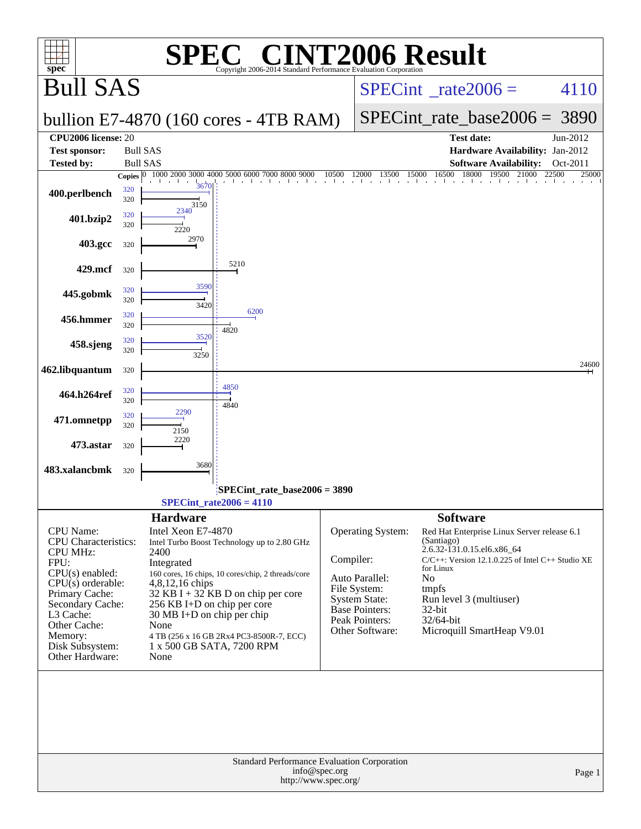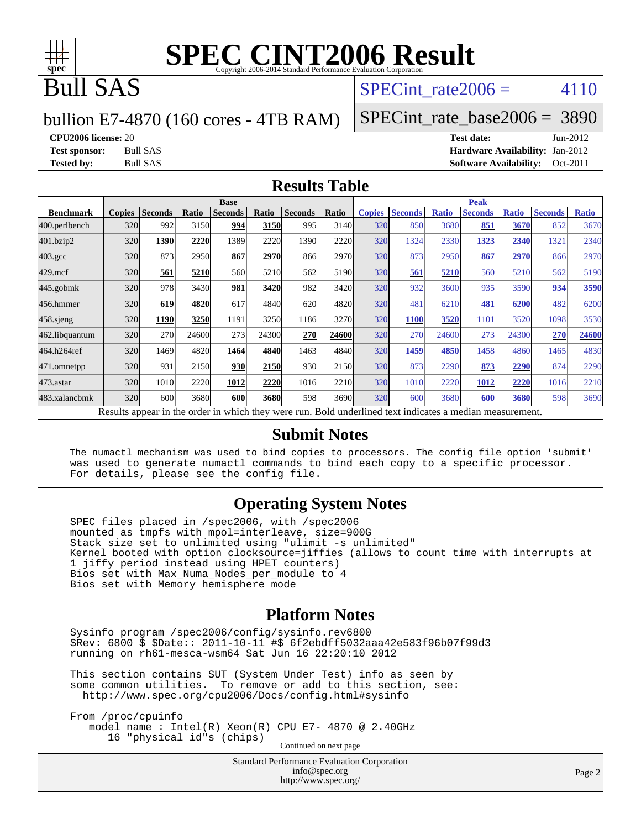

## Bull SAS

#### SPECint rate  $2006 = 4110$

#### bullion E7-4870 (160 cores - 4TB RAM)

[SPECint\\_rate\\_base2006 =](http://www.spec.org/auto/cpu2006/Docs/result-fields.html#SPECintratebase2006) 3890

**[CPU2006 license:](http://www.spec.org/auto/cpu2006/Docs/result-fields.html#CPU2006license)** 20 **[Test date:](http://www.spec.org/auto/cpu2006/Docs/result-fields.html#Testdate)** Jun-2012 **[Test sponsor:](http://www.spec.org/auto/cpu2006/Docs/result-fields.html#Testsponsor)** Bull SAS **[Hardware Availability:](http://www.spec.org/auto/cpu2006/Docs/result-fields.html#HardwareAvailability)** Jan-2012 **[Tested by:](http://www.spec.org/auto/cpu2006/Docs/result-fields.html#Testedby)** Bull SAS **[Software Availability:](http://www.spec.org/auto/cpu2006/Docs/result-fields.html#SoftwareAvailability)** Oct-2011

#### **[Results Table](http://www.spec.org/auto/cpu2006/Docs/result-fields.html#ResultsTable)**

|                  | <b>Base</b>                                                                                              |                |       |                |       |                |       | <b>Peak</b>   |                |              |                |              |                |              |
|------------------|----------------------------------------------------------------------------------------------------------|----------------|-------|----------------|-------|----------------|-------|---------------|----------------|--------------|----------------|--------------|----------------|--------------|
| <b>Benchmark</b> | <b>Copies</b>                                                                                            | <b>Seconds</b> | Ratio | <b>Seconds</b> | Ratio | <b>Seconds</b> | Ratio | <b>Copies</b> | <b>Seconds</b> | <b>Ratio</b> | <b>Seconds</b> | <b>Ratio</b> | <b>Seconds</b> | <b>Ratio</b> |
| 400.perlbench    | 320                                                                                                      | 992            | 3150  | 994            | 3150  | 995            | 3140  | 320           | 850            | 3680         | 851            | 3670         | 852            | 3670         |
| 401.bzip2        | 320                                                                                                      | 1390           | 2220  | 1389           | 2220  | 1390           | 2220  | 320           | 1324           | 2330         | 1323           | 2340         | 1321           | 2340         |
| $403.\text{gcc}$ | 320                                                                                                      | 873            | 2950  | 867            | 2970  | 866            | 2970  | 320           | 873            | 2950         | 867            | 2970         | 866            | 2970         |
| $429$ .mcf       | 320                                                                                                      | 561            | 5210  | 560            | 5210  | 562            | 5190  | 320           | 561            | 5210         | 560            | 5210         | 562            | 5190         |
| $445$ .gobm $k$  | 320                                                                                                      | 978            | 3430  | 981            | 3420  | 982            | 3420  | 320           | 932            | 3600         | 935            | 3590         | 934            | 3590         |
| 456.hmmer        | 320                                                                                                      | 619            | 4820  | 617            | 4840  | 620            | 4820  | 320           | 481            | 6210         | 481            | 6200         | 482            | 6200         |
| $458$ .sjeng     | 320                                                                                                      | 1190           | 3250  | 1191           | 3250  | 1186           | 3270  | 320           | 1100           | 3520         | 1101           | 3520         | 1098           | 3530         |
| 462.libquantum   | 320                                                                                                      | 270            | 24600 | 273            | 24300 | 270            | 24600 | 320           | 270            | 24600        | 273            | 24300        | 270            | 24600        |
| 464.h264ref      | 320                                                                                                      | 1469           | 4820  | 1464           | 4840  | 1463           | 4840  | 320           | 1459           | 4850         | 1458           | 4860         | 1465           | 4830         |
| 471.omnetpp      | 320                                                                                                      | 931            | 2150  | 930            | 2150  | 930            | 2150  | 320           | 873            | 2290         | 873            | 2290         | 874            | 2290         |
| $473$ . astar    | 320                                                                                                      | 1010           | 2220  | 1012           | 2220  | 1016           | 2210  | 320           | 1010           | 2220         | 1012           | 2220         | 1016           | 2210         |
| 483.xalancbmk    | 320                                                                                                      | 600            | 3680  | 600            | 3680  | 598            | 3690  | 320           | 600            | 3680         | 600            | 3680         | 598            | 3690         |
|                  | Results appear in the order in which they were run. Bold underlined text indicates a median measurement. |                |       |                |       |                |       |               |                |              |                |              |                |              |

#### **[Submit Notes](http://www.spec.org/auto/cpu2006/Docs/result-fields.html#SubmitNotes)**

 The numactl mechanism was used to bind copies to processors. The config file option 'submit' was used to generate numactl commands to bind each copy to a specific processor. For details, please see the config file.

#### **[Operating System Notes](http://www.spec.org/auto/cpu2006/Docs/result-fields.html#OperatingSystemNotes)**

 SPEC files placed in /spec2006, with /spec2006 mounted as tmpfs with mpol=interleave, size=900G Stack size set to unlimited using "ulimit -s unlimited" Kernel booted with option clocksource=jiffies (allows to count time with interrupts at 1 jiffy period instead using HPET counters) Bios set with Max\_Numa\_Nodes\_per\_module to 4 Bios set with Memory hemisphere mode

#### **[Platform Notes](http://www.spec.org/auto/cpu2006/Docs/result-fields.html#PlatformNotes)**

 Sysinfo program /spec2006/config/sysinfo.rev6800 \$Rev: 6800 \$ \$Date:: 2011-10-11 #\$ 6f2ebdff5032aaa42e583f96b07f99d3 running on rh61-mesca-wsm64 Sat Jun 16 22:20:10 2012

 This section contains SUT (System Under Test) info as seen by some common utilities. To remove or add to this section, see: <http://www.spec.org/cpu2006/Docs/config.html#sysinfo>

 From /proc/cpuinfo model name : Intel(R) Xeon(R) CPU E7- 4870 @ 2.40GHz 16 "physical id"s (chips) Continued on next page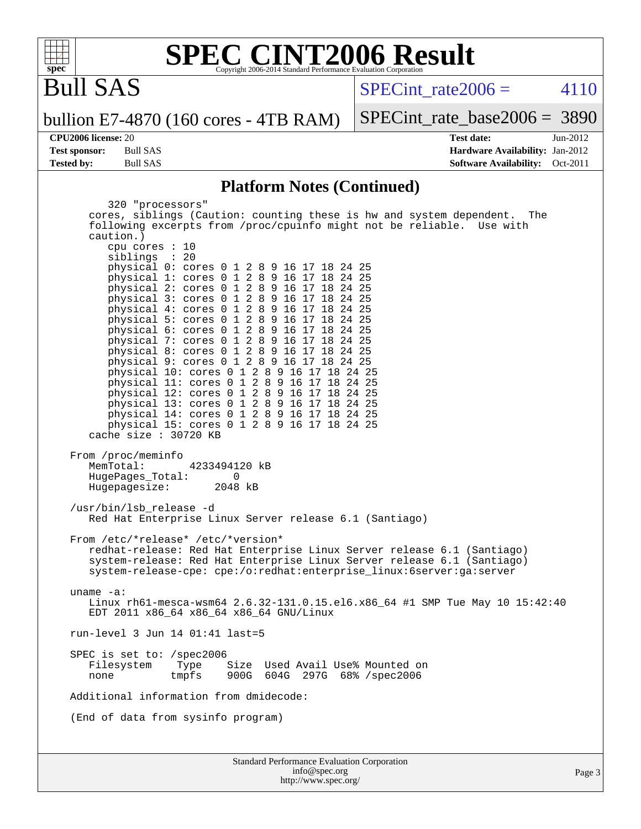

Bull SAS

 $SPECTnt_rate2006 = 4110$ 

bullion E7-4870 (160 cores - 4TB RAM)

[SPECint\\_rate\\_base2006 =](http://www.spec.org/auto/cpu2006/Docs/result-fields.html#SPECintratebase2006) 3890

**[CPU2006 license:](http://www.spec.org/auto/cpu2006/Docs/result-fields.html#CPU2006license)** 20 **[Test date:](http://www.spec.org/auto/cpu2006/Docs/result-fields.html#Testdate)** Jun-2012 **[Test sponsor:](http://www.spec.org/auto/cpu2006/Docs/result-fields.html#Testsponsor)** Bull SAS **[Hardware Availability:](http://www.spec.org/auto/cpu2006/Docs/result-fields.html#HardwareAvailability)** Jan-2012 **[Tested by:](http://www.spec.org/auto/cpu2006/Docs/result-fields.html#Testedby)** Bull SAS **[Software Availability:](http://www.spec.org/auto/cpu2006/Docs/result-fields.html#SoftwareAvailability)** Oct-2011

#### **[Platform Notes \(Continued\)](http://www.spec.org/auto/cpu2006/Docs/result-fields.html#PlatformNotes)**

| 320 "processors"<br>cores, siblings (Caution: counting these is hw and system dependent. The<br>following excerpts from /proc/cpuinfo might not be reliable. Use with<br>caution.)<br>cpu cores : 10<br>siblings : 20                                                                                                                                                                                                                                                                                                                                                                                                 |
|-----------------------------------------------------------------------------------------------------------------------------------------------------------------------------------------------------------------------------------------------------------------------------------------------------------------------------------------------------------------------------------------------------------------------------------------------------------------------------------------------------------------------------------------------------------------------------------------------------------------------|
| physical 0: cores 0 1 2 8 9 16 17 18 24 25<br>physical 1: cores 0 1 2 8 9 16 17 18 24 25<br>physical 2: cores 0 1 2 8 9 16 17 18 24 25<br>physical 3: cores 0 1 2 8 9 16 17 18 24 25<br>physical 4: cores 0 1 2 8 9 16 17 18 24 25<br>physical 5: cores 0 1 2 8 9 16 17 18 24 25<br>physical 6: cores 0 1 2 8 9 16 17 18 24 25<br>physical 7: cores 0 1 2 8 9 16 17 18 24 25<br>physical 8: cores 0 1 2 8 9 16 17 18 24 25<br>physical 9: cores 0 1 2 8 9 16 17 18 24 25<br>physical 10: cores 0 1 2 8 9 16 17 18 24 25<br>physical 11: cores 0 1 2 8 9 16 17 18 24 25<br>physical 12: cores 0 1 2 8 9 16 17 18 24 25 |
| physical 13: cores 0 1 2 8 9 16 17 18 24 25<br>physical 14: cores 0 1 2 8 9 16 17 18 24 25<br>physical 15: cores 0 1 2 8 9 16 17 18 24 25<br>cache size : 30720 KB                                                                                                                                                                                                                                                                                                                                                                                                                                                    |
| From /proc/meminfo<br>MemTotal:<br>4233494120 kB<br>HugePages_Total:<br>0<br>Hugepagesize: 2048 kB                                                                                                                                                                                                                                                                                                                                                                                                                                                                                                                    |
| /usr/bin/lsb_release -d<br>Red Hat Enterprise Linux Server release 6.1 (Santiago)                                                                                                                                                                                                                                                                                                                                                                                                                                                                                                                                     |
| From /etc/*release* /etc/*version*<br>redhat-release: Red Hat Enterprise Linux Server release 6.1 (Santiago)<br>system-release: Red Hat Enterprise Linux Server release 6.1 (Santiago)<br>system-release-cpe: cpe:/o:redhat:enterprise_linux:6server:ga:server                                                                                                                                                                                                                                                                                                                                                        |
| uname $-a$ :<br>Linux rh61-mesca-wsm64 2.6.32-131.0.15.el6.x86_64 #1 SMP Tue May 10 15:42:40<br>EDT 2011 x86_64 x86_64 x86_64 GNU/Linux                                                                                                                                                                                                                                                                                                                                                                                                                                                                               |
| $run-level$ 3 Jun 14 01:41 last=5                                                                                                                                                                                                                                                                                                                                                                                                                                                                                                                                                                                     |
| SPEC is set to: /spec2006<br>Filesystem Type Size Used Avail Use% Mounted on<br>900G 604G 297G 68% / spec2006<br>tmpfs<br>none                                                                                                                                                                                                                                                                                                                                                                                                                                                                                        |
| Additional information from dmidecode:                                                                                                                                                                                                                                                                                                                                                                                                                                                                                                                                                                                |
| (End of data from sysinfo program)                                                                                                                                                                                                                                                                                                                                                                                                                                                                                                                                                                                    |
|                                                                                                                                                                                                                                                                                                                                                                                                                                                                                                                                                                                                                       |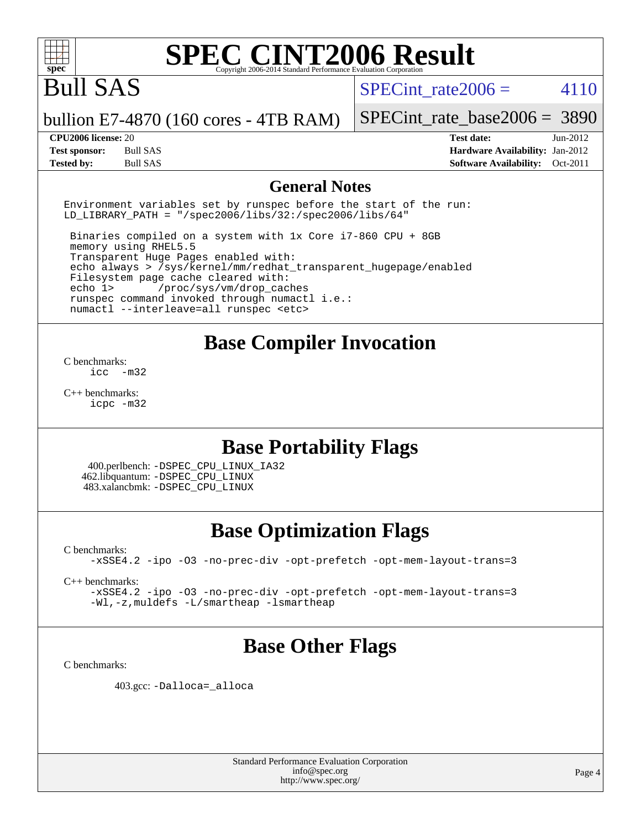

# Bull SAS

SPECint rate  $2006 = 4110$ 

bullion E7-4870 (160 cores - 4TB RAM)

**[Test sponsor:](http://www.spec.org/auto/cpu2006/Docs/result-fields.html#Testsponsor)** Bull SAS **[Hardware Availability:](http://www.spec.org/auto/cpu2006/Docs/result-fields.html#HardwareAvailability)** Jan-2012 **[Tested by:](http://www.spec.org/auto/cpu2006/Docs/result-fields.html#Testedby)** Bull SAS **[Software Availability:](http://www.spec.org/auto/cpu2006/Docs/result-fields.html#SoftwareAvailability)** Oct-2011

[SPECint\\_rate\\_base2006 =](http://www.spec.org/auto/cpu2006/Docs/result-fields.html#SPECintratebase2006) 3890 **[CPU2006 license:](http://www.spec.org/auto/cpu2006/Docs/result-fields.html#CPU2006license)** 20 **[Test date:](http://www.spec.org/auto/cpu2006/Docs/result-fields.html#Testdate)** Jun-2012

#### **[General Notes](http://www.spec.org/auto/cpu2006/Docs/result-fields.html#GeneralNotes)**

Environment variables set by runspec before the start of the run: LD LIBRARY PATH = "/spec2006/libs/32:/spec2006/libs/64"

 Binaries compiled on a system with 1x Core i7-860 CPU + 8GB memory using RHEL5.5 Transparent Huge Pages enabled with: echo always > /sys/kernel/mm/redhat\_transparent\_hugepage/enabled Filesystem page cache cleared with: echo 1> /proc/sys/vm/drop\_caches runspec command invoked through numactl i.e.: numactl --interleave=all runspec <etc>

### **[Base Compiler Invocation](http://www.spec.org/auto/cpu2006/Docs/result-fields.html#BaseCompilerInvocation)**

[C benchmarks](http://www.spec.org/auto/cpu2006/Docs/result-fields.html#Cbenchmarks):  $inc -m32$ 

[C++ benchmarks:](http://www.spec.org/auto/cpu2006/Docs/result-fields.html#CXXbenchmarks) [icpc -m32](http://www.spec.org/cpu2006/results/res2012q3/cpu2006-20120618-22989.flags.html#user_CXXbase_intel_icpc_4e5a5ef1a53fd332b3c49e69c3330699)

### **[Base Portability Flags](http://www.spec.org/auto/cpu2006/Docs/result-fields.html#BasePortabilityFlags)**

 400.perlbench: [-DSPEC\\_CPU\\_LINUX\\_IA32](http://www.spec.org/cpu2006/results/res2012q3/cpu2006-20120618-22989.flags.html#b400.perlbench_baseCPORTABILITY_DSPEC_CPU_LINUX_IA32) 462.libquantum: [-DSPEC\\_CPU\\_LINUX](http://www.spec.org/cpu2006/results/res2012q3/cpu2006-20120618-22989.flags.html#b462.libquantum_baseCPORTABILITY_DSPEC_CPU_LINUX) 483.xalancbmk: [-DSPEC\\_CPU\\_LINUX](http://www.spec.org/cpu2006/results/res2012q3/cpu2006-20120618-22989.flags.html#b483.xalancbmk_baseCXXPORTABILITY_DSPEC_CPU_LINUX)

### **[Base Optimization Flags](http://www.spec.org/auto/cpu2006/Docs/result-fields.html#BaseOptimizationFlags)**

[C benchmarks](http://www.spec.org/auto/cpu2006/Docs/result-fields.html#Cbenchmarks):

[-xSSE4.2](http://www.spec.org/cpu2006/results/res2012q3/cpu2006-20120618-22989.flags.html#user_CCbase_f-xSSE42_f91528193cf0b216347adb8b939d4107) [-ipo](http://www.spec.org/cpu2006/results/res2012q3/cpu2006-20120618-22989.flags.html#user_CCbase_f-ipo) [-O3](http://www.spec.org/cpu2006/results/res2012q3/cpu2006-20120618-22989.flags.html#user_CCbase_f-O3) [-no-prec-div](http://www.spec.org/cpu2006/results/res2012q3/cpu2006-20120618-22989.flags.html#user_CCbase_f-no-prec-div) [-opt-prefetch](http://www.spec.org/cpu2006/results/res2012q3/cpu2006-20120618-22989.flags.html#user_CCbase_f-opt-prefetch) [-opt-mem-layout-trans=3](http://www.spec.org/cpu2006/results/res2012q3/cpu2006-20120618-22989.flags.html#user_CCbase_f-opt-mem-layout-trans_a7b82ad4bd7abf52556d4961a2ae94d5)

[C++ benchmarks:](http://www.spec.org/auto/cpu2006/Docs/result-fields.html#CXXbenchmarks)

[-xSSE4.2](http://www.spec.org/cpu2006/results/res2012q3/cpu2006-20120618-22989.flags.html#user_CXXbase_f-xSSE42_f91528193cf0b216347adb8b939d4107) [-ipo](http://www.spec.org/cpu2006/results/res2012q3/cpu2006-20120618-22989.flags.html#user_CXXbase_f-ipo) [-O3](http://www.spec.org/cpu2006/results/res2012q3/cpu2006-20120618-22989.flags.html#user_CXXbase_f-O3) [-no-prec-div](http://www.spec.org/cpu2006/results/res2012q3/cpu2006-20120618-22989.flags.html#user_CXXbase_f-no-prec-div) [-opt-prefetch](http://www.spec.org/cpu2006/results/res2012q3/cpu2006-20120618-22989.flags.html#user_CXXbase_f-opt-prefetch) [-opt-mem-layout-trans=3](http://www.spec.org/cpu2006/results/res2012q3/cpu2006-20120618-22989.flags.html#user_CXXbase_f-opt-mem-layout-trans_a7b82ad4bd7abf52556d4961a2ae94d5) [-Wl,-z,muldefs](http://www.spec.org/cpu2006/results/res2012q3/cpu2006-20120618-22989.flags.html#user_CXXbase_link_force_multiple1_74079c344b956b9658436fd1b6dd3a8a) [-L/smartheap -lsmartheap](http://www.spec.org/cpu2006/results/res2012q3/cpu2006-20120618-22989.flags.html#user_CXXbase_SmartHeap_7c9e394a5779e1a7fec7c221e123830c)

### **[Base Other Flags](http://www.spec.org/auto/cpu2006/Docs/result-fields.html#BaseOtherFlags)**

[C benchmarks](http://www.spec.org/auto/cpu2006/Docs/result-fields.html#Cbenchmarks):

403.gcc: [-Dalloca=\\_alloca](http://www.spec.org/cpu2006/results/res2012q3/cpu2006-20120618-22989.flags.html#b403.gcc_baseEXTRA_CFLAGS_Dalloca_be3056838c12de2578596ca5467af7f3)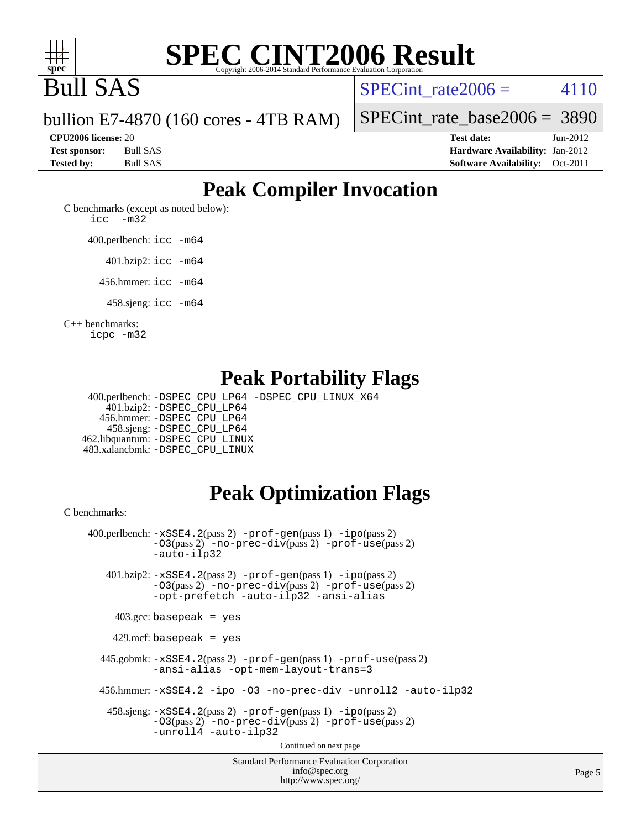

# Bull SAS

SPECint rate  $2006 = 4110$ 

bullion E7-4870 (160 cores - 4TB RAM)

[SPECint\\_rate\\_base2006 =](http://www.spec.org/auto/cpu2006/Docs/result-fields.html#SPECintratebase2006) 3890

**[CPU2006 license:](http://www.spec.org/auto/cpu2006/Docs/result-fields.html#CPU2006license)** 20 **[Test date:](http://www.spec.org/auto/cpu2006/Docs/result-fields.html#Testdate)** Jun-2012 **[Test sponsor:](http://www.spec.org/auto/cpu2006/Docs/result-fields.html#Testsponsor)** Bull SAS **[Hardware Availability:](http://www.spec.org/auto/cpu2006/Docs/result-fields.html#HardwareAvailability)** Jan-2012 **[Tested by:](http://www.spec.org/auto/cpu2006/Docs/result-fields.html#Testedby)** Bull SAS **[Software Availability:](http://www.spec.org/auto/cpu2006/Docs/result-fields.html#SoftwareAvailability)** Oct-2011

### **[Peak Compiler Invocation](http://www.spec.org/auto/cpu2006/Docs/result-fields.html#PeakCompilerInvocation)**

[C benchmarks \(except as noted below\)](http://www.spec.org/auto/cpu2006/Docs/result-fields.html#Cbenchmarksexceptasnotedbelow): [icc -m32](http://www.spec.org/cpu2006/results/res2012q3/cpu2006-20120618-22989.flags.html#user_CCpeak_intel_icc_5ff4a39e364c98233615fdd38438c6f2)

400.perlbench: [icc -m64](http://www.spec.org/cpu2006/results/res2012q3/cpu2006-20120618-22989.flags.html#user_peakCCLD400_perlbench_intel_icc_64bit_bda6cc9af1fdbb0edc3795bac97ada53)

401.bzip2: [icc -m64](http://www.spec.org/cpu2006/results/res2012q3/cpu2006-20120618-22989.flags.html#user_peakCCLD401_bzip2_intel_icc_64bit_bda6cc9af1fdbb0edc3795bac97ada53)

456.hmmer: [icc -m64](http://www.spec.org/cpu2006/results/res2012q3/cpu2006-20120618-22989.flags.html#user_peakCCLD456_hmmer_intel_icc_64bit_bda6cc9af1fdbb0edc3795bac97ada53)

458.sjeng: [icc -m64](http://www.spec.org/cpu2006/results/res2012q3/cpu2006-20120618-22989.flags.html#user_peakCCLD458_sjeng_intel_icc_64bit_bda6cc9af1fdbb0edc3795bac97ada53)

[C++ benchmarks:](http://www.spec.org/auto/cpu2006/Docs/result-fields.html#CXXbenchmarks)

[icpc -m32](http://www.spec.org/cpu2006/results/res2012q3/cpu2006-20120618-22989.flags.html#user_CXXpeak_intel_icpc_4e5a5ef1a53fd332b3c49e69c3330699)

### **[Peak Portability Flags](http://www.spec.org/auto/cpu2006/Docs/result-fields.html#PeakPortabilityFlags)**

 400.perlbench: [-DSPEC\\_CPU\\_LP64](http://www.spec.org/cpu2006/results/res2012q3/cpu2006-20120618-22989.flags.html#b400.perlbench_peakCPORTABILITY_DSPEC_CPU_LP64) [-DSPEC\\_CPU\\_LINUX\\_X64](http://www.spec.org/cpu2006/results/res2012q3/cpu2006-20120618-22989.flags.html#b400.perlbench_peakCPORTABILITY_DSPEC_CPU_LINUX_X64) 401.bzip2: [-DSPEC\\_CPU\\_LP64](http://www.spec.org/cpu2006/results/res2012q3/cpu2006-20120618-22989.flags.html#suite_peakCPORTABILITY401_bzip2_DSPEC_CPU_LP64) 456.hmmer: [-DSPEC\\_CPU\\_LP64](http://www.spec.org/cpu2006/results/res2012q3/cpu2006-20120618-22989.flags.html#suite_peakCPORTABILITY456_hmmer_DSPEC_CPU_LP64) 458.sjeng: [-DSPEC\\_CPU\\_LP64](http://www.spec.org/cpu2006/results/res2012q3/cpu2006-20120618-22989.flags.html#suite_peakCPORTABILITY458_sjeng_DSPEC_CPU_LP64) 462.libquantum: [-DSPEC\\_CPU\\_LINUX](http://www.spec.org/cpu2006/results/res2012q3/cpu2006-20120618-22989.flags.html#b462.libquantum_peakCPORTABILITY_DSPEC_CPU_LINUX) 483.xalancbmk: [-DSPEC\\_CPU\\_LINUX](http://www.spec.org/cpu2006/results/res2012q3/cpu2006-20120618-22989.flags.html#b483.xalancbmk_peakCXXPORTABILITY_DSPEC_CPU_LINUX)

### **[Peak Optimization Flags](http://www.spec.org/auto/cpu2006/Docs/result-fields.html#PeakOptimizationFlags)**

[C benchmarks](http://www.spec.org/auto/cpu2006/Docs/result-fields.html#Cbenchmarks):

Standard Performance Evaluation Corporation [info@spec.org](mailto:info@spec.org) 400.perlbench: [-xSSE4.2](http://www.spec.org/cpu2006/results/res2012q3/cpu2006-20120618-22989.flags.html#user_peakPASS2_CFLAGSPASS2_LDCFLAGS400_perlbench_f-xSSE42_f91528193cf0b216347adb8b939d4107)(pass 2) [-prof-gen](http://www.spec.org/cpu2006/results/res2012q3/cpu2006-20120618-22989.flags.html#user_peakPASS1_CFLAGSPASS1_LDCFLAGS400_perlbench_prof_gen_e43856698f6ca7b7e442dfd80e94a8fc)(pass 1) [-ipo](http://www.spec.org/cpu2006/results/res2012q3/cpu2006-20120618-22989.flags.html#user_peakPASS2_CFLAGSPASS2_LDCFLAGS400_perlbench_f-ipo)(pass 2) [-O3](http://www.spec.org/cpu2006/results/res2012q3/cpu2006-20120618-22989.flags.html#user_peakPASS2_CFLAGSPASS2_LDCFLAGS400_perlbench_f-O3)(pass 2) [-no-prec-div](http://www.spec.org/cpu2006/results/res2012q3/cpu2006-20120618-22989.flags.html#user_peakPASS2_CFLAGSPASS2_LDCFLAGS400_perlbench_f-no-prec-div)(pass 2) [-prof-use](http://www.spec.org/cpu2006/results/res2012q3/cpu2006-20120618-22989.flags.html#user_peakPASS2_CFLAGSPASS2_LDCFLAGS400_perlbench_prof_use_bccf7792157ff70d64e32fe3e1250b55)(pass 2) [-auto-ilp32](http://www.spec.org/cpu2006/results/res2012q3/cpu2006-20120618-22989.flags.html#user_peakCOPTIMIZE400_perlbench_f-auto-ilp32) 401.bzip2: [-xSSE4.2](http://www.spec.org/cpu2006/results/res2012q3/cpu2006-20120618-22989.flags.html#user_peakPASS2_CFLAGSPASS2_LDCFLAGS401_bzip2_f-xSSE42_f91528193cf0b216347adb8b939d4107)(pass 2) [-prof-gen](http://www.spec.org/cpu2006/results/res2012q3/cpu2006-20120618-22989.flags.html#user_peakPASS1_CFLAGSPASS1_LDCFLAGS401_bzip2_prof_gen_e43856698f6ca7b7e442dfd80e94a8fc)(pass 1) [-ipo](http://www.spec.org/cpu2006/results/res2012q3/cpu2006-20120618-22989.flags.html#user_peakPASS2_CFLAGSPASS2_LDCFLAGS401_bzip2_f-ipo)(pass 2) [-O3](http://www.spec.org/cpu2006/results/res2012q3/cpu2006-20120618-22989.flags.html#user_peakPASS2_CFLAGSPASS2_LDCFLAGS401_bzip2_f-O3)(pass 2) [-no-prec-div](http://www.spec.org/cpu2006/results/res2012q3/cpu2006-20120618-22989.flags.html#user_peakPASS2_CFLAGSPASS2_LDCFLAGS401_bzip2_f-no-prec-div)(pass 2) [-prof-use](http://www.spec.org/cpu2006/results/res2012q3/cpu2006-20120618-22989.flags.html#user_peakPASS2_CFLAGSPASS2_LDCFLAGS401_bzip2_prof_use_bccf7792157ff70d64e32fe3e1250b55)(pass 2) [-opt-prefetch](http://www.spec.org/cpu2006/results/res2012q3/cpu2006-20120618-22989.flags.html#user_peakCOPTIMIZE401_bzip2_f-opt-prefetch) [-auto-ilp32](http://www.spec.org/cpu2006/results/res2012q3/cpu2006-20120618-22989.flags.html#user_peakCOPTIMIZE401_bzip2_f-auto-ilp32) [-ansi-alias](http://www.spec.org/cpu2006/results/res2012q3/cpu2006-20120618-22989.flags.html#user_peakCOPTIMIZE401_bzip2_f-ansi-alias)  $403.\text{gcc: basepeak}$  = yes 429.mcf: basepeak = yes 445.gobmk: [-xSSE4.2](http://www.spec.org/cpu2006/results/res2012q3/cpu2006-20120618-22989.flags.html#user_peakPASS2_CFLAGSPASS2_LDCFLAGS445_gobmk_f-xSSE42_f91528193cf0b216347adb8b939d4107)(pass 2) [-prof-gen](http://www.spec.org/cpu2006/results/res2012q3/cpu2006-20120618-22989.flags.html#user_peakPASS1_CFLAGSPASS1_LDCFLAGS445_gobmk_prof_gen_e43856698f6ca7b7e442dfd80e94a8fc)(pass 1) [-prof-use](http://www.spec.org/cpu2006/results/res2012q3/cpu2006-20120618-22989.flags.html#user_peakPASS2_CFLAGSPASS2_LDCFLAGS445_gobmk_prof_use_bccf7792157ff70d64e32fe3e1250b55)(pass 2) [-ansi-alias](http://www.spec.org/cpu2006/results/res2012q3/cpu2006-20120618-22989.flags.html#user_peakCOPTIMIZE445_gobmk_f-ansi-alias) [-opt-mem-layout-trans=3](http://www.spec.org/cpu2006/results/res2012q3/cpu2006-20120618-22989.flags.html#user_peakCOPTIMIZE445_gobmk_f-opt-mem-layout-trans_a7b82ad4bd7abf52556d4961a2ae94d5) 456.hmmer: [-xSSE4.2](http://www.spec.org/cpu2006/results/res2012q3/cpu2006-20120618-22989.flags.html#user_peakCOPTIMIZE456_hmmer_f-xSSE42_f91528193cf0b216347adb8b939d4107) [-ipo](http://www.spec.org/cpu2006/results/res2012q3/cpu2006-20120618-22989.flags.html#user_peakCOPTIMIZE456_hmmer_f-ipo) [-O3](http://www.spec.org/cpu2006/results/res2012q3/cpu2006-20120618-22989.flags.html#user_peakCOPTIMIZE456_hmmer_f-O3) [-no-prec-div](http://www.spec.org/cpu2006/results/res2012q3/cpu2006-20120618-22989.flags.html#user_peakCOPTIMIZE456_hmmer_f-no-prec-div) [-unroll2](http://www.spec.org/cpu2006/results/res2012q3/cpu2006-20120618-22989.flags.html#user_peakCOPTIMIZE456_hmmer_f-unroll_784dae83bebfb236979b41d2422d7ec2) [-auto-ilp32](http://www.spec.org/cpu2006/results/res2012q3/cpu2006-20120618-22989.flags.html#user_peakCOPTIMIZE456_hmmer_f-auto-ilp32) 458.sjeng: [-xSSE4.2](http://www.spec.org/cpu2006/results/res2012q3/cpu2006-20120618-22989.flags.html#user_peakPASS2_CFLAGSPASS2_LDCFLAGS458_sjeng_f-xSSE42_f91528193cf0b216347adb8b939d4107)(pass 2) [-prof-gen](http://www.spec.org/cpu2006/results/res2012q3/cpu2006-20120618-22989.flags.html#user_peakPASS1_CFLAGSPASS1_LDCFLAGS458_sjeng_prof_gen_e43856698f6ca7b7e442dfd80e94a8fc)(pass 1) [-ipo](http://www.spec.org/cpu2006/results/res2012q3/cpu2006-20120618-22989.flags.html#user_peakPASS2_CFLAGSPASS2_LDCFLAGS458_sjeng_f-ipo)(pass 2) [-O3](http://www.spec.org/cpu2006/results/res2012q3/cpu2006-20120618-22989.flags.html#user_peakPASS2_CFLAGSPASS2_LDCFLAGS458_sjeng_f-O3)(pass 2) [-no-prec-div](http://www.spec.org/cpu2006/results/res2012q3/cpu2006-20120618-22989.flags.html#user_peakPASS2_CFLAGSPASS2_LDCFLAGS458_sjeng_f-no-prec-div)(pass 2) [-prof-use](http://www.spec.org/cpu2006/results/res2012q3/cpu2006-20120618-22989.flags.html#user_peakPASS2_CFLAGSPASS2_LDCFLAGS458_sjeng_prof_use_bccf7792157ff70d64e32fe3e1250b55)(pass 2) [-unroll4](http://www.spec.org/cpu2006/results/res2012q3/cpu2006-20120618-22989.flags.html#user_peakCOPTIMIZE458_sjeng_f-unroll_4e5e4ed65b7fd20bdcd365bec371b81f) [-auto-ilp32](http://www.spec.org/cpu2006/results/res2012q3/cpu2006-20120618-22989.flags.html#user_peakCOPTIMIZE458_sjeng_f-auto-ilp32) Continued on next page

<http://www.spec.org/>